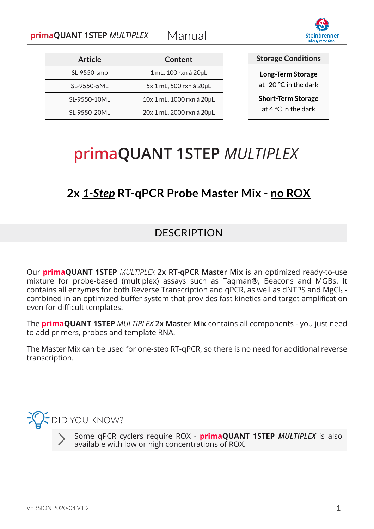

| <b>Article</b> | Content                   |
|----------------|---------------------------|
| SL-9550-smp    | 1 mL, 100 rxn á 20µL      |
| SL-9550-5ML    | 5x 1 mL, 500 rxn á 20µL   |
| SL-9550-10ML   | 10x 1 mL, 1000 rxn á 20µL |
| SL-9550-20ML   | 20x 1 mL, 2000 rxn á 20µL |

**Storage Conditions**

**Long-Term Storage** at -20 °C in the dark

**Short-Term Storage** at 4 °C in the dark

# primaQUANT 1STEP MULTIPLEX

# **2x** *1-Step* **RT-qPCR Probe Master Mix - no ROX**

#### **DESCRIPTION**

Our **primaQUANT 1STEP** *MULTIPLEX* **2x RT-qPCR Master Mix** is an optimized ready-to-use mixture for probe-based (multiplex) assays such as Taqman®, Beacons and MGBs. It contains all enzymes for both Reverse Transcription and qPCR, as well as dNTPS and MgCl₂ combined in an optimized buffer system that provides fast kinetics and target amplification even for difficult templates.

The **primaQUANT 1STEP** *MULTIPLEX* **2x Master Mix** contains all components - you just need to add primers, probes and template RNA.

The Master Mix can be used for one-step RT-qPCR, so there is no need for additional reverse transcription.



Some qPCR cyclers require ROX - **primaQUANT 1STEP** *MULTIPLEX* is also available with low or high concentrations of ROX.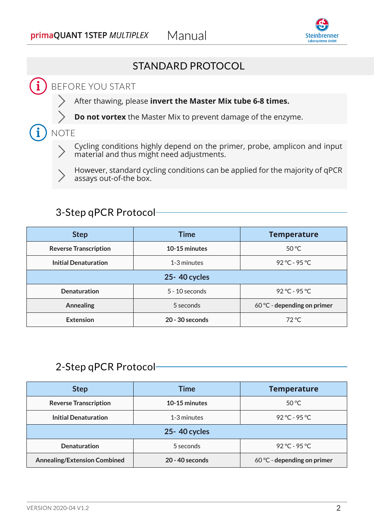

#### STANDARD PROTOCOL

#### $\mathbf{\hat{i}}$  BEFORE YOU START

- After thawing, please **invert the Master Mix tube 6-8 times.**
- **Do not vortex** the Master Mix to prevent damage of the enzyme.

 $\mathbf i$ ) NOTE

Cycling conditions highly depend on the primer, probe, amplicon and input material and thus might need adjustments.



However, standard cycling conditions can be applied for the majority of qPCR assays out-of-the box.

#### 3-Step qPCR Protocol

| <b>Step</b>                  | <b>Time</b>       | <b>Temperature</b>          |
|------------------------------|-------------------|-----------------------------|
| <b>Reverse Transcription</b> | 10-15 minutes     | $50^{\circ}$ C              |
| <b>Initial Denaturation</b>  | 1-3 minutes       | $92 °C - 95 °C$             |
|                              | 25-40 cycles      |                             |
| <b>Denaturation</b>          | $5 - 10$ seconds  | $92 °C - 95 °C$             |
| <b>Annealing</b>             | 5 seconds         | 60 °C - depending on primer |
| <b>Extension</b>             | $20 - 30$ seconds | $72^{\circ}$ C              |

#### 2-Step qPCR Protocol

| <b>Step</b>                         | Time              | <b>Temperature</b>          |
|-------------------------------------|-------------------|-----------------------------|
| <b>Reverse Transcription</b>        | 10-15 minutes     | $50^{\circ}$ C              |
| <b>Initial Denaturation</b>         | 1-3 minutes       | $92 °C - 95 °C$             |
| 25-40 cycles                        |                   |                             |
| <b>Denaturation</b>                 | 5 seconds         | $92 °C - 95 °C$             |
| <b>Annealing/Extension Combined</b> | $20 - 40$ seconds | 60 °C - depending on primer |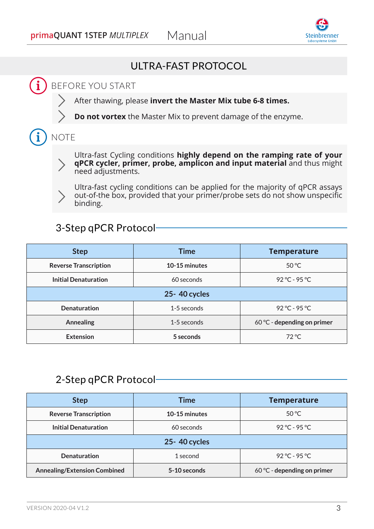

#### ULTRA-FAST PROTOCOL

# $\bf i$  ) before you start

- After thawing, please **invert the Master Mix tube 6-8 times.**
- **Do not vortex** the Master Mix to prevent damage of the enzyme.

# $\mathbf i$  ) note



Ultra-fast Cycling conditions **highly depend on the ramping rate of your qPCR cycler, primer, probe, amplicon and input material** and thus might need adjustments.



Ultra-fast cycling conditions can be applied for the majority of qPCR assays out-of-the box, provided that your primer/probe sets do not show unspecific binding.

#### 3-Step qPCR Protocol

| <b>Step</b>                  | <b>Time</b>   | <b>Temperature</b>          |
|------------------------------|---------------|-----------------------------|
| <b>Reverse Transcription</b> | 10-15 minutes | $50^{\circ}$ C              |
| <b>Initial Denaturation</b>  | 60 seconds    | $92 °C - 95 °C$             |
| 25-40 cycles                 |               |                             |
| <b>Denaturation</b>          | 1-5 seconds   | $92 °C - 95 °C$             |
| <b>Annealing</b>             | 1-5 seconds   | 60 °C - depending on primer |
| <b>Extension</b>             | 5 seconds     | $72^{\circ}$ C              |

#### 2-Step qPCR Protocol

| <b>Step</b>                         | Time          | <b>Temperature</b>          |
|-------------------------------------|---------------|-----------------------------|
| <b>Reverse Transcription</b>        | 10-15 minutes | $50^{\circ}$ C              |
| <b>Initial Denaturation</b>         | 60 seconds    | $92 °C - 95 °C$             |
| 25-40 cycles                        |               |                             |
| <b>Denaturation</b>                 | 1 second      | $92 °C - 95 °C$             |
| <b>Annealing/Extension Combined</b> | 5-10 seconds  | 60 °C - depending on primer |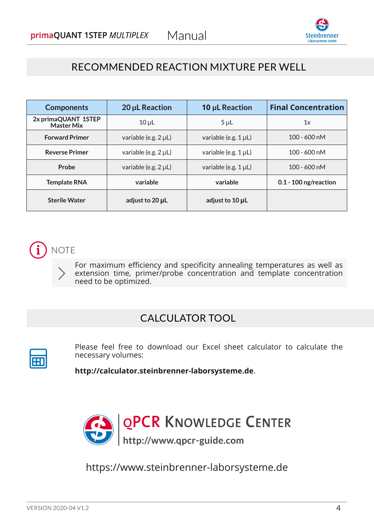

#### RECOMMENDED REACTION MIXTURE PER WELL

| <b>Components</b>                        | 20 µL Reaction       | 10 µL Reaction       | <b>Final Concentration</b> |
|------------------------------------------|----------------------|----------------------|----------------------------|
| 2x primaQUANT 1STEP<br><b>Master Mix</b> | $10 \mu L$           | $5 \mu L$            | 1x                         |
| <b>Forward Primer</b>                    | variable (e.g. 2 µL) | variable (e.g. 1 µL) | $100 - 600$ nM             |
| <b>Reverse Primer</b>                    | variable (e.g. 2 µL) | variable (e.g. 1 µL) | $100 - 600$ nM             |
| Probe                                    | variable (e.g. 2 µL) | variable (e.g. 1 µL) | $100 - 600$ nM             |
| <b>Template RNA</b>                      | variable             | variable             | $0.1 - 100$ ng/reaction    |
| <b>Sterile Water</b>                     | adjust to 20 µL      | adjust to 10 µL      |                            |



For maximum efficiency and specificity annealing temperatures as well as extension time, primer/probe concentration and template concentration need to be optimized.

#### CALCULATOR TOOL

Please feel free to download our Excel sheet calculator to calculate the necessary volumes:

**http://calculator.steinbrenner-laborsysteme.de**.



https://www.steinbrenner-laborsysteme.de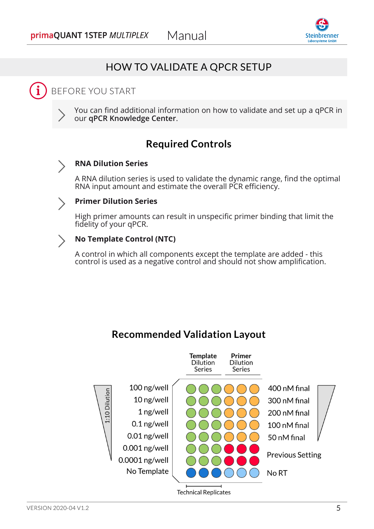

#### HOW TO VALIDATE A QPCR SETUP

# i) BEFORE YOU START

You can find additional information on how to validate and set up a qPCR in our **qPCR Knowledge Center**.

#### **Required Controls**

#### **RNA Dilution Series**

A RNA dilution series is used to validate the dynamic range, find the optimal RNA input amount and estimate the overall PCR efficiency.

#### **Primer Dilution Series**

High primer amounts can result in unspecific primer binding that limit the fidelity of your qPCR.

#### **No Template Control (NTC)**

A control in which all components except the template are added - this control is used as a negative control and should not show amplification.

#### **Recommended Validation Layout**